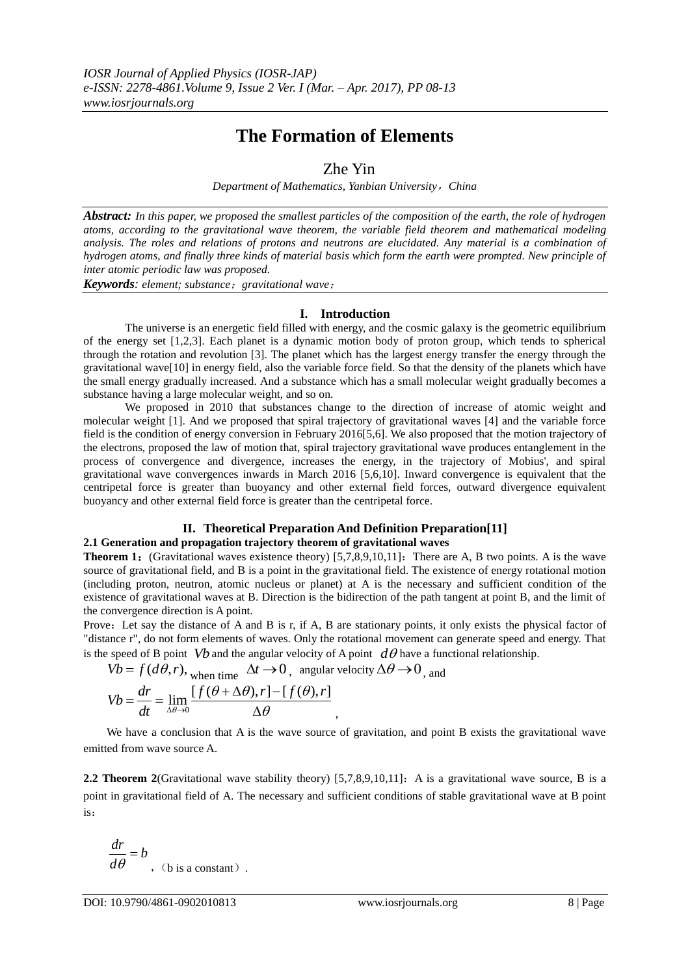# **The Formation of Elements**

## Zhe Yin

*Department of Mathematics, Yanbian University*,*China*

*Abstract: In this paper, we proposed the smallest particles of the composition of the earth, the role of hydrogen atoms, according to the gravitational wave theorem, the variable field theorem and mathematical modeling analysis. The roles and relations of protons and neutrons are elucidated. Any material is a combination of hydrogen atoms, and finally three kinds of material basis which form the earth were prompted. New principle of inter atomic periodic law was proposed.* 

*Keywords: element; substance*;*gravitational wave*;

### **I. Introduction**

The universe is an energetic field filled with energy, and the cosmic galaxy is the geometric equilibrium of the energy set [1,2,3]. Each planet is a dynamic motion body of proton group, which tends to spherical through the rotation and revolution [3]. The planet which has the largest energy transfer the energy through the gravitational wave[10] in energy field, also the variable force field. So that the density of the planets which have the small energy gradually increased. And a substance which has a small molecular weight gradually becomes a substance having a large molecular weight, and so on.

We proposed in 2010 that substances change to the direction of increase of atomic weight and molecular weight [1]. And we proposed that spiral trajectory of gravitational waves [4] and the variable force field is the condition of energy conversion in February 2016[5,6]. We also proposed that the motion trajectory of the electrons, proposed the law of motion that, spiral trajectory gravitational wave produces entanglement in the process of convergence and divergence, increases the energy, in the trajectory of Mobius', and spiral gravitational wave convergences inwards in March 2016 [5,6,10]. Inward convergence is equivalent that the centripetal force is greater than buoyancy and other external field forces, outward divergence equivalent buoyancy and other external field force is greater than the centripetal force.

#### **II. Theoretical Preparation And Definition Preparation[11] 2.1 Generation and propagation trajectory theorem of gravitational waves**

**Theorem 1:** (Gravitational waves existence theory) [5,7,8,9,10,11]: There are A, B two points. A is the wave source of gravitational field, and B is a point in the gravitational field. The existence of energy rotational motion (including proton, neutron, atomic nucleus or planet) at A is the necessary and sufficient condition of the existence of gravitational waves at B. Direction is the bidirection of the path tangent at point B, and the limit of the convergence direction is A point.

Prove: Let say the distance of A and B is r, if A, B are stationary points, it only exists the physical factor of "distance r", do not form elements of waves. Only the rotational movement can generate speed and energy. That is the speed of B point *Vb* and the angular velocity of A point  $d\theta$  have a functional relationship.

$$
Vb = f(d\theta, r),
$$
when time  $\Delta t \rightarrow 0$ , angular velocity  $\Delta \theta \rightarrow 0$ , and

$$
Vb = f(d\theta, r), \text{ when time } \Delta t \to 0, \text{ angular ve}
$$
  

$$
Vb = \frac{dr}{dt} = \lim_{\Delta \theta \to 0} \frac{[f(\theta + \Delta \theta), r] - [f(\theta), r]}{\Delta \theta},
$$

We have a conclusion that A is the wave source of gravitation, and point B exists the gravitational wave emitted from wave source A.

**2.2 Theorem 2**(Gravitational wave stability theory) [5,7,8,9,10,11]: A is a gravitational wave source, B is a point in gravitational field of A. The necessary and sufficient conditions of stable gravitational wave at B point is:

$$
\frac{dr}{d\theta} = b
$$
, (b is a constant).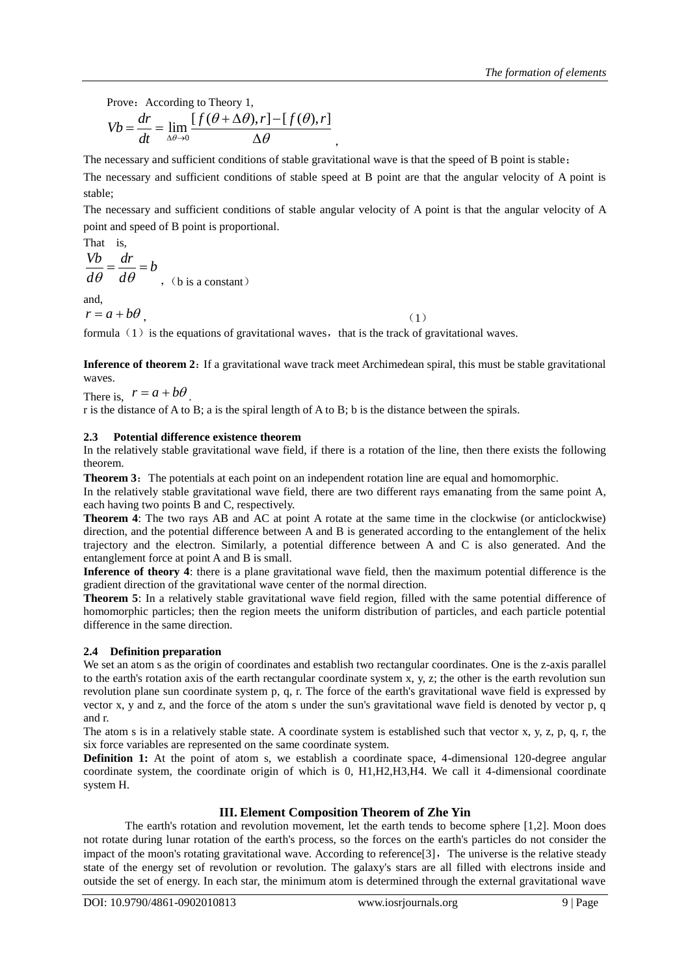Prove: According to Theory 1,  
\n
$$
Vb = \frac{dr}{dt} = \lim_{\Delta \theta \to 0} \frac{[f(\theta + \Delta \theta), r] - [f(\theta), r]}{\Delta \theta},
$$

The necessary and sufficient conditions of stable gravitational wave is that the speed of B point is stable;

The necessary and sufficient conditions of stable speed at B point are that the angular velocity of A point is stable;

The necessary and sufficient conditions of stable angular velocity of A point is that the angular velocity of A point and speed of B point is proportional.

That is,  
\n
$$
\frac{Vb}{d\theta} = \frac{dr}{d\theta} = b
$$
\n(b is a constant)

and,

 $r = a + b\theta$ , (1)

formula  $(1)$  is the equations of gravitational waves, that is the track of gravitational waves.

**Inference of theorem 2:** If a gravitational wave track meet Archimedean spiral, this must be stable gravitational waves.

There is,  $r = a + b\theta$ . r is the distance of A to B; a is the spiral length of A to B; b is the distance between the spirals.

## **2.3 Potential difference existence theorem**

In the relatively stable gravitational wave field, if there is a rotation of the line, then there exists the following theorem.

**Theorem 3:** The potentials at each point on an independent rotation line are equal and homomorphic.

In the relatively stable gravitational wave field, there are two different rays emanating from the same point A, each having two points B and C, respectively.

**Theorem 4**: The two rays AB and AC at point A rotate at the same time in the clockwise (or anticlockwise) direction, and the potential difference between A and B is generated according to the entanglement of the helix trajectory and the electron. Similarly, a potential difference between A and C is also generated. And the entanglement force at point A and B is small.

**Inference of theory 4**: there is a plane gravitational wave field, then the maximum potential difference is the gradient direction of the gravitational wave center of the normal direction.

**Theorem 5**: In a relatively stable gravitational wave field region, filled with the same potential difference of homomorphic particles; then the region meets the uniform distribution of particles, and each particle potential difference in the same direction.

## **2.4 Definition preparation**

We set an atom s as the [origin](javascript:void(0);) [of](javascript:void(0);) [coordinates](javascript:void(0);) and establish two rectangular coordinates. One is the z-axis parallel to the earth's rotation axis of the earth rectangular coordinate system x, y, z; the other is the earth revolution sun revolution plane sun coordinate system p, q, r. The force of the earth's gravitational wave field is expressed by vector x, y and z, and the force of the atom s under the sun's gravitational wave field is denoted by vector p, q and r.

The atom s is in a relatively stable state. A coordinate system is established such that vector x, y, z, p, q, r, the six force variables are represented on the same coordinate system.

**Definition 1:** At the point of atom s, we establish a coordinate space, 4-dimensional 120-degree angular coordinate system, the coordinate origin of which is 0, H1,H2,H3,H4. We call it 4-dimensional coordinate system H.

## **III. Element Composition Theorem of Zhe Yin**

The earth's rotation and revolution movement, let the earth tends to become sphere [1,2]. Moon does not rotate during lunar rotation of the earth's process, so the forces on the earth's particles do not consider the impact of the moon's rotating gravitational wave. According to reference  $[3]$ , The universe is the relative steady state of the energy set of revolution or revolution. The galaxy's stars are all filled with electrons inside and outside the set of energy. In each star, the minimum atom is determined through the external gravitational wave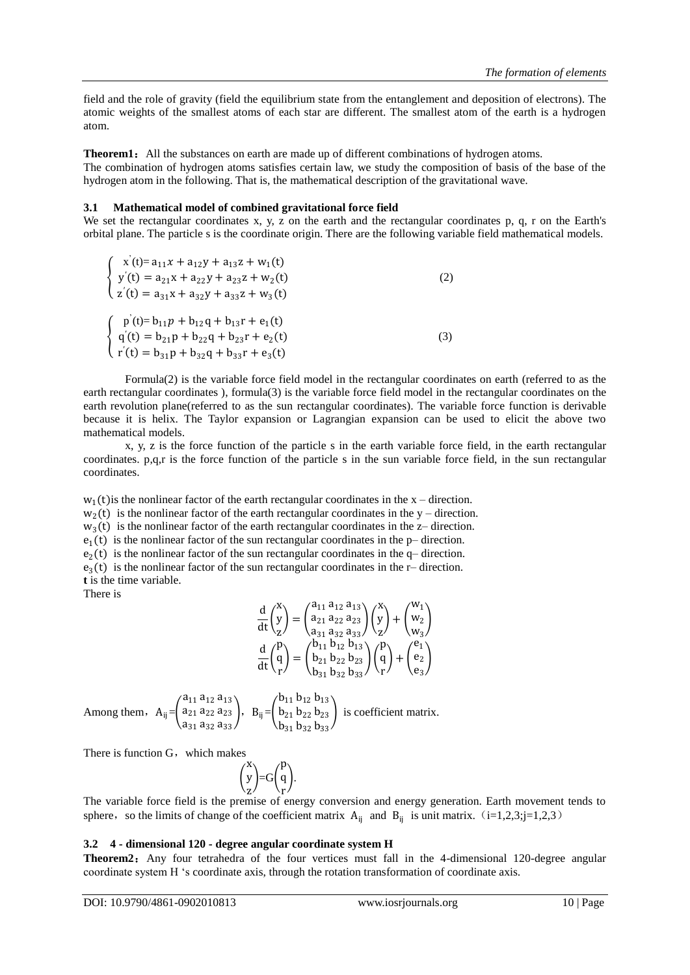field and the role of gravity (field the equilibrium state from the entanglement and deposition of electrons). The atomic weights of the smallest atoms of each star are different. The smallest atom of the earth is a hydrogen atom.

**Theorem1:** All the substances on earth are made up of different combinations of hydrogen atoms. The combination of hydrogen atoms satisfies certain law, we study the composition of basis of the base of the hydrogen atom in the following. That is, the mathematical description of the gravitational wave.

#### **3.1 Mathematical model of combined gravitational force field**

We set the rectangular coordinates x, y, z on the earth and the rectangular coordinates p, q, r on the Earth's orbital plane. The particle s is the coordinate origin. There are the following variable field mathematical models.

| $\int x^3(t) = a_{11}x + a_{12}y + a_{13}z + w_1(t)$<br>$\begin{cases} y'(t) = a_{21}x + a_{22}y + a_{23}z + w_2(t) \end{cases}$<br>$\begin{pmatrix} z'(t) = a_{31}x + a_{32}y + a_{33}z + w_3(t) \end{pmatrix}$ | 2)  |
|------------------------------------------------------------------------------------------------------------------------------------------------------------------------------------------------------------------|-----|
| $\int p'(t)=b_{11}p+b_{12}q+b_{13}r+e_1(t)$<br>$\begin{cases} q'(t) = b_{21}p + b_{22}q + b_{23}r + e_2(t) \end{cases}$<br>$\int r'(t) = b_{31}p + b_{32}q + b_{33}r + e_3(t)$                                   | (3) |

Formula(2) is the variable force field model in the rectangular coordinates on earth (referred to as the earth rectangular coordinates ), formula(3) is the variable force field model in the rectangular coordinates on the earth revolution plane(referred to as the sun rectangular coordinates). The variable force function is derivable because it is helix. The Taylor expansion or Lagrangian expansion can be used to elicit the above two mathematical models.

x, y, z is the force function of the particle s in the earth variable force field, in the earth rectangular coordinates. p,q,r is the force function of the particle s in the sun variable force field, in the sun rectangular coordinates.

 $w_1(t)$  is the nonlinear factor of the earth rectangular coordinates in the x – direction.  $w_2(t)$  is the nonlinear factor of the earth rectangular coordinates in the y – direction.  $w_3(t)$  is the nonlinear factor of the earth rectangular coordinates in the z- direction.

 $e_1(t)$  is the nonlinear factor of the sun rectangular coordinates in the p– direction.

 $e_2(t)$  is the nonlinear factor of the sun rectangular coordinates in the q– direction.

 $e_3(t)$  is the nonlinear factor of the sun rectangular coordinates in the r– direction. **t** is the time variable.

There is

$$
\begin{array}{l} \frac{d}{dt}{y\choose z} = \binom{a_{11}}{a_{21}}\frac{a_{12}}{a_{23}}\frac{a_{13}}{a_{33}}\binom{x}{y} + \binom{w_1}{w_2} \\ \frac{d}{dt}{y\choose r} = \binom{b_{11}}{b_{12}}\frac{b_{13}}{b_{13}}\binom{p}{y} + \binom{e_1}{e_2} \\ \frac{d}{dt}{y\choose r} = \binom{b_{11}}{b_{21}}\frac{b_{12}}{b_{23}}\frac{b_{13}}{b_{33}}\binom{p}{r} + \binom{e_1}{e_2} \end{array}
$$

Among them,  $A_{ij} = \begin{bmatrix} 1 & 0 \\ 0 & 0 \end{bmatrix}$  $a_{11} a_{12} a_{13}$  $a_{21} a_{22} a_{23}$ a<sub>31</sub> a<sub>32</sub> a<sub>33</sub>  $\vert$ , B<sub>ij</sub>= $\vert$  $b_{11} b_{12} b_{13}$  $b_{21} b_{22} b_{23}$  $b_{31} b_{32} b_{33}$ i[s coefficient](javascript:void(0);) [matrix.](javascript:void(0);)

There is function  $G$ , which makes

$$
\binom{x}{y} = G\binom{p}{r}.
$$

The variable force field is the premise of energy conversion and energy generation. Earth movement tends to sphere, so the limits of change of the [coefficient](javascript:void(0);) matrix  $A_{ij}$  and  $B_{ij}$  is unit matrix. (i=1,2,3;j=1,2,3)

#### **3.2 4 - dimensional 120 - degree angular coordinate system H**

**Theorem2**: Any four tetrahedra of the four vertices must fall in the 4-dimensional 120-degree angular coordinate system H "s coordinate axis, through the rotation transformation of coordinate axis.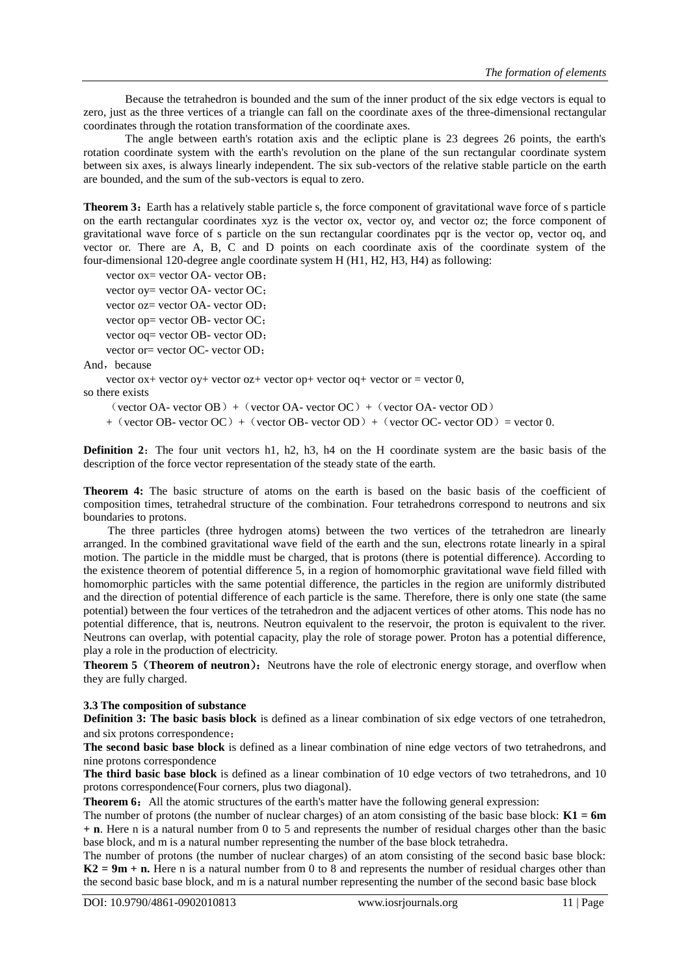Because the tetrahedron is bounded and the sum of the inner product of the six edge vectors is equal to zero, just as the three vertices of a triangle can fall on the coordinate axes of the three-dimensional rectangular coordinates through the rotation transformation of the coordinate axes.

The angle between earth's rotation axis and the ecliptic plane is 23 degrees 26 points, the earth's rotation coordinate system with the earth's revolution on the plane of the sun rectangular coordinate system between six axes, is always linearly independent. The six sub-vectors of the relative stable particle on the earth are bounded, and the sum of the sub-vectors is equal to zero.

**Theorem 3:** Earth has a relatively stable particle s, the force component of gravitational wave force of s particle on the earth rectangular coordinates xyz is the vector ox, vector oy, and vector oz; the force component of gravitational wave force of s particle on the sun rectangular coordinates pqr is the vector op, vector oq, and vector or. There are A, B, C and D points on each coordinate axis of the coordinate system of the four-dimensional 120-degree angle coordinate system H (H1, H2, H3, H4) as following:

vector ox= vector OA- vector OB;

vector oy= vector OA- vector OC; vector oz= vector OA- vector OD; vector op= vector OB- vector OC;

vector oq= vector OB- vector OD;

vector or= vector OC- vector OD;

And, because

vector  $ox+$  vector  $oy+$  vector  $oz+$  vector  $op+$  vector  $oq+$  vector  $or =$  vector  $0$ ,

so there exists

 $(\text{vector OA}-\text{vector OB}) + (\text{vector OA}-\text{vector OC}) + (\text{vector OA}-\text{vector OD})$ 

 $+$  (vector OB- vector OC) + (vector OB- vector OD) + (vector OC- vector OD) = vector 0.

**Definition 2:** The four unit vectors h1, h2, h3, h4 on the H coordinate system are the basic basis of the description of the force vector representation of the steady state of the earth.

**Theorem 4:** The basic structure of atoms on the earth is based on the basic basis of the coefficient of composition times, tetrahedral structure of the combination. Four tetrahedrons correspond to neutrons and six boundaries to protons.

The three particles (three hydrogen atoms) between the two vertices of the tetrahedron are linearly arranged. In the combined gravitational wave field of the earth and the sun, electrons rotate linearly in a spiral motion. The particle in the middle must be charged, that is protons (there is potential difference). According to the existence theorem of potential difference 5, in a region of homomorphic gravitational wave field filled with homomorphic particles with the same potential difference, the particles in the region are uniformly distributed and the direction of potential difference of each particle is the same. Therefore, there is only one state (the same potential) between the four vertices of the tetrahedron and the adjacent vertices of other atoms. This node has no potential difference, that is, neutrons. Neutron equivalent to the reservoir, the proton is equivalent to the river. Neutrons can overlap, with potential capacity, play the role of storage power. Proton has a potential difference, play a role in the production of electricity.

**Theorem 5** (**Theorem of neutron**): Neutrons have the role of electronic energy storage, and overflow when they are fully charged.

#### **3.3 The composition of substance**

**Definition 3:** The basic basis block is defined as a linear combination of six edge vectors of one tetrahedron, and six protons correspondence;

**The second basic base block** is defined as a linear combination of nine edge vectors of two tetrahedrons, and nine protons correspondence

**The third basic base block** is defined as a linear combination of 10 edge vectors of two tetrahedrons, and 10 protons correspondence(Four corners, plus two diagonal).

**Theorem 6:** All the atomic structures of the earth's matter have the following general expression:

The number of protons (the number of nuclear charges) of an atom consisting of the basic base block: **K1 = 6m + n**. Here n is a natural number from 0 to 5 and represents the number of residual charges other than the basic base block, and m is a natural number representing the number of the base block tetrahedra.

The number of protons (the number of nuclear charges) of an atom consisting of the second basic base block: **K2** = 9m + n. Here n is a natural number from 0 to 8 and represents the number of residual charges other than the second basic base block, and m is a natural number representing the number of the second basic base block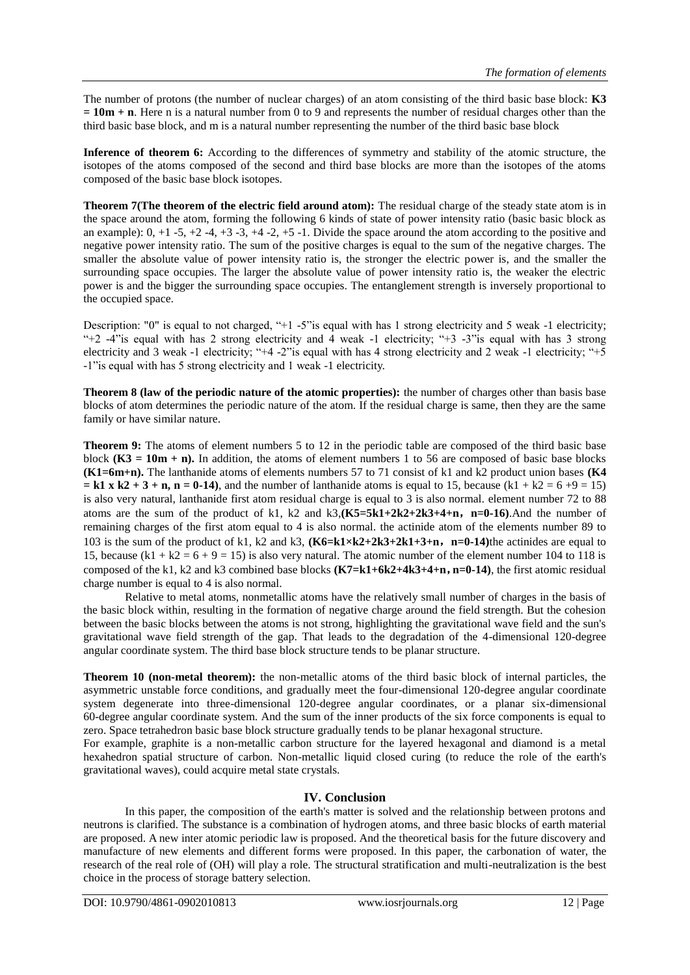The number of protons (the number of nuclear charges) of an atom consisting of the third basic base block: **K3 = 10m + n**. Here n is a natural number from 0 to 9 and represents the number of residual charges other than the third basic base block, and m is a natural number representing the number of the third basic base block

**Inference of theorem 6:** According to the differences of symmetry and stability of the atomic structure, the isotopes of the atoms composed of the second and third base blocks are more than the isotopes of the atoms composed of the basic base block isotopes.

**Theorem 7(The theorem of the electric field around atom):** The residual charge of the steady state atom is in the space around the atom, forming the following 6 kinds of state of power intensity ratio (basic basic block as an example):  $0, +1$  -5,  $+2$  -4,  $+3$  -3,  $+4$  -2,  $+5$  -1. Divide the space around the atom according to the positive and negative power intensity ratio. The sum of the positive charges is equal to the sum of the negative charges. The smaller the absolute value of power intensity ratio is, the stronger the electric power is, and the smaller the surrounding space occupies. The larger the absolute value of power intensity ratio is, the weaker the electric power is and the bigger the surrounding space occupies. The entanglement strength is inversely proportional to the occupied space.

Description: "0" is equal to not charged, "+1 -5" is equal with has 1 strong electricity and 5 weak -1 electricity; "+2 -4"is equal with has 2 strong electricity and 4 weak -1 electricity; "+3 -3"is equal with has 3 strong electricity and 3 weak -1 electricity; "+4 -2"is equal with has 4 strong electricity and 2 weak -1 electricity; " $+5$ -1"is equal with has 5 strong electricity and 1 weak -1 electricity.

**Theorem 8 (law of the periodic nature of the atomic properties):** the number of charges other than basis base blocks of atom determines the periodic nature of the atom. If the residual charge is same, then they are the same family or have similar nature.

**Theorem 9:** The atoms of element numbers 5 to 12 in the periodic table are composed of the third basic base block  $(K3 = 10m + n)$ . In addition, the atoms of element numbers 1 to 56 are composed of basic base blocks **(K1=6m+n).** The lanthanide atoms of elements numbers 57 to 71 consist of k1 and k2 product union bases **(K4**   $= k1 \times k2 + 3 + n$ ,  $n = 0-14$ ), and the number of lanthanide atoms is equal to 15, because (k1 + k2 = 6 +9 = 15) is also very natural, lanthanide first atom residual charge is equal to 3 is also normal. element number 72 to 88 atoms are the sum of the product of k1, k2 and k3,**(K5=5k1+2k2+2k3+4+n**,**n=0-16)**.And the number of remaining charges of the first atom equal to 4 is also normal. the actinide atom of the elements number 89 to 103 is the sum of the product of k1, k2 and k3, **(K6=k1×k2+2k3+2k1+3+n**,**n=0-14)**the actinides are equal to 15, because  $(k1 + k2 = 6 + 9 = 15)$  is also very natural. The atomic number of the element number 104 to 118 is composed of the k1, k2 and k3 combined base blocks **(K7=k1+6k2+4k3+4+n**,**n=0-14)**, the first atomic residual charge number is equal to 4 is also normal.

Relative to metal atoms, nonmetallic atoms have the relatively small number of charges in the basis of the basic block within, resulting in the formation of negative charge around the field strength. But the cohesion between the basic blocks between the atoms is not strong, highlighting the gravitational wave field and the sun's gravitational wave field strength of the gap. That leads to the degradation of the 4-dimensional 120-degree angular coordinate system. The third base block structure tends to be planar structure.

**Theorem 10 (non-metal theorem):** the non-metallic atoms of the third basic block of internal particles, the asymmetric unstable force conditions, and gradually meet the four-dimensional 120-degree angular coordinate system degenerate into three-dimensional 120-degree angular coordinates, or a planar six-dimensional 60-degree angular coordinate system. And the sum of the inner products of the six force components is equal to zero. Space tetrahedron basic base block structure gradually tends to be planar hexagonal structure.

For example, graphite is a non-metallic carbon structure for the layered hexagonal and diamond is a metal hexahedron spatial structure of carbon. Non-metallic liquid closed curing (to reduce the role of the earth's gravitational waves), could acquire metal state crystals.

## **IV. Conclusion**

In this paper, the composition of the earth's matter is solved and the relationship between protons and neutrons is clarified. The substance is a combination of hydrogen atoms, and three basic blocks of earth material are proposed. A new inter atomic periodic law is proposed. And the theoretical basis for the future discovery and manufacture of new elements and different forms were proposed. In this paper, the carbonation of water, the research of the real role of (OH) will play a role. The structural stratification and multi-neutralization is the best choice in the process of storage battery selection.